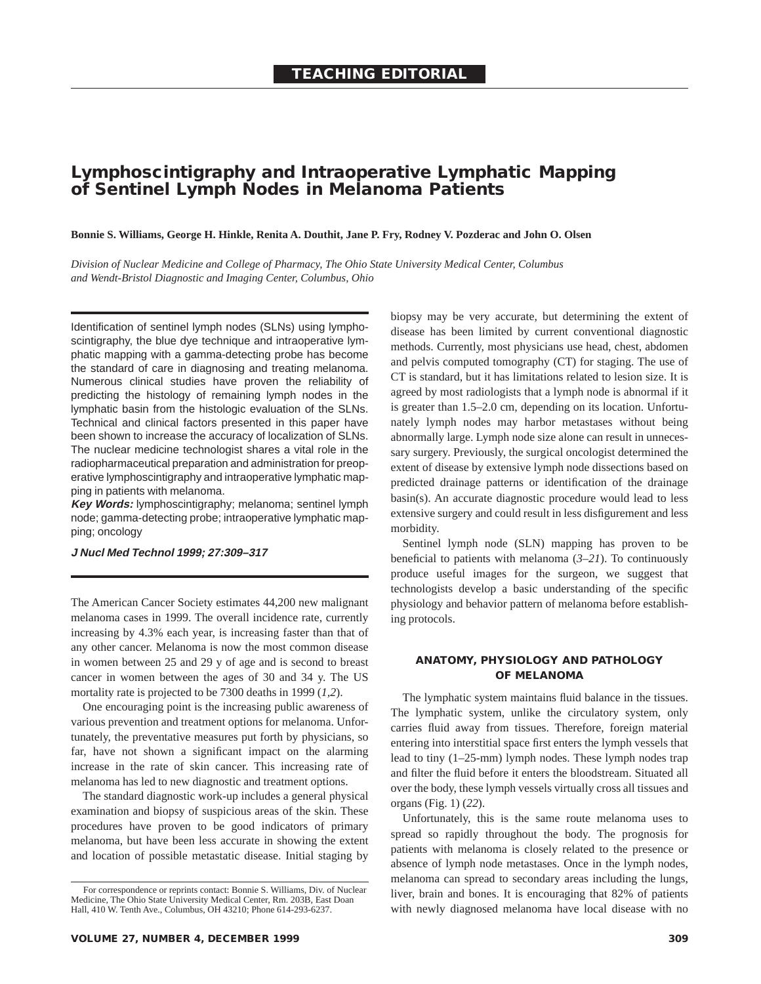# **Lymphoscintigraphy and Intraoperative Lymphatic Mapping of Sentinel Lymph Nodes in Melanoma Patients**

**Bonnie S. Williams, George H. Hinkle, Renita A. Douthit, Jane P. Fry, Rodney V. Pozderac and John O. Olsen**

*Division of Nuclear Medicine and College of Pharmacy, The Ohio State University Medical Center, Columbus and Wendt-Bristol Diagnostic and Imaging Center, Columbus, Ohio*

Identification of sentinel lymph nodes (SLNs) using lymphoscintigraphy, the blue dye technique and intraoperative lymphatic mapping with a gamma-detecting probe has become the standard of care in diagnosing and treating melanoma. Numerous clinical studies have proven the reliability of predicting the histology of remaining lymph nodes in the lymphatic basin from the histologic evaluation of the SLNs. Technical and clinical factors presented in this paper have been shown to increase the accuracy of localization of SLNs. The nuclear medicine technologist shares a vital role in the radiopharmaceutical preparation and administration for preoperative lymphoscintigraphy and intraoperative lymphatic mapping in patients with melanoma.

**Key Words:** lymphoscintigraphy; melanoma; sentinel lymph node; gamma-detecting probe; intraoperative lymphatic mapping; oncology

# **J Nucl Med Technol 1999; 27:309–317**

The American Cancer Society estimates 44,200 new malignant melanoma cases in 1999. The overall incidence rate, currently increasing by 4.3% each year, is increasing faster than that of any other cancer. Melanoma is now the most common disease in women between 25 and 29 y of age and is second to breast cancer in women between the ages of 30 and 34 y. The US mortality rate is projected to be 7300 deaths in 1999 (*1,2*).

One encouraging point is the increasing public awareness of various prevention and treatment options for melanoma. Unfortunately, the preventative measures put forth by physicians, so far, have not shown a significant impact on the alarming increase in the rate of skin cancer. This increasing rate of melanoma has led to new diagnostic and treatment options.

The standard diagnostic work-up includes a general physical examination and biopsy of suspicious areas of the skin. These procedures have proven to be good indicators of primary melanoma, but have been less accurate in showing the extent and location of possible metastatic disease. Initial staging by biopsy may be very accurate, but determining the extent of disease has been limited by current conventional diagnostic methods. Currently, most physicians use head, chest, abdomen and pelvis computed tomography (CT) for staging. The use of CT is standard, but it has limitations related to lesion size. It is agreed by most radiologists that a lymph node is abnormal if it is greater than 1.5–2.0 cm, depending on its location. Unfortunately lymph nodes may harbor metastases without being abnormally large. Lymph node size alone can result in unnecessary surgery. Previously, the surgical oncologist determined the extent of disease by extensive lymph node dissections based on predicted drainage patterns or identification of the drainage basin(s). An accurate diagnostic procedure would lead to less extensive surgery and could result in less disfigurement and less morbidity.

Sentinel lymph node (SLN) mapping has proven to be beneficial to patients with melanoma (*3–21*). To continuously produce useful images for the surgeon, we suggest that technologists develop a basic understanding of the specific physiology and behavior pattern of melanoma before establishing protocols.

# **ANATOMY, PHYSIOLOGY AND PATHOLOGY OF MELANOMA**

The lymphatic system maintains fluid balance in the tissues. The lymphatic system, unlike the circulatory system, only carries fluid away from tissues. Therefore, foreign material entering into interstitial space first enters the lymph vessels that lead to tiny (1–25-mm) lymph nodes. These lymph nodes trap and filter the fluid before it enters the bloodstream. Situated all over the body, these lymph vessels virtually cross all tissues and organs (Fig. 1) (*22*).

Unfortunately, this is the same route melanoma uses to spread so rapidly throughout the body. The prognosis for patients with melanoma is closely related to the presence or absence of lymph node metastases. Once in the lymph nodes, melanoma can spread to secondary areas including the lungs, liver, brain and bones. It is encouraging that 82% of patients with newly diagnosed melanoma have local disease with no

For correspondence or reprints contact: Bonnie S. Williams, Div. of Nuclear Medicine, The Ohio State University Medical Center, Rm. 203B, East Doan Hall, 410 W. Tenth Ave., Columbus, OH 43210; Phone 614-293-6237.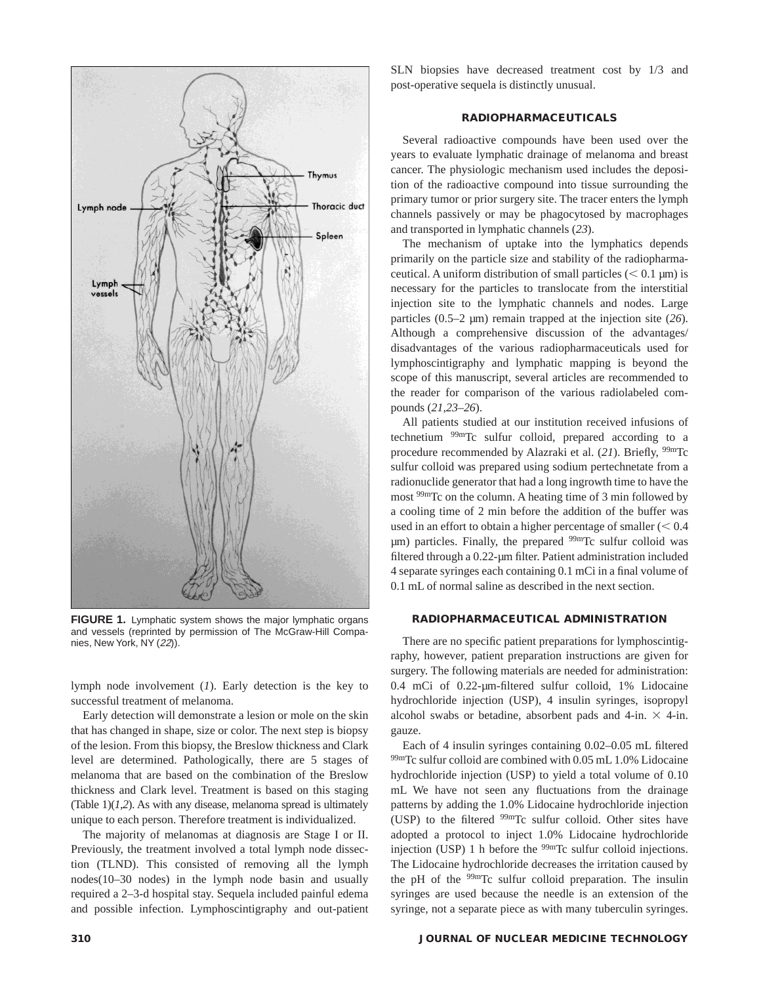

**FIGURE 1.** Lymphatic system shows the major lymphatic organs and vessels (reprinted by permission of The McGraw-Hill Companies, New York, NY (22)).

lymph node involvement (*1*). Early detection is the key to successful treatment of melanoma.

Early detection will demonstrate a lesion or mole on the skin that has changed in shape, size or color. The next step is biopsy of the lesion. From this biopsy, the Breslow thickness and Clark level are determined. Pathologically, there are 5 stages of melanoma that are based on the combination of the Breslow thickness and Clark level. Treatment is based on this staging (Table  $1$ ) $(I,2)$ . As with any disease, melanoma spread is ultimately unique to each person. Therefore treatment is individualized.

The majority of melanomas at diagnosis are Stage I or II. Previously, the treatment involved a total lymph node dissection (TLND). This consisted of removing all the lymph nodes(10–30 nodes) in the lymph node basin and usually required a 2–3-d hospital stay. Sequela included painful edema and possible infection. Lymphoscintigraphy and out-patient SLN biopsies have decreased treatment cost by 1/3 and post-operative sequela is distinctly unusual.

### **RADIOPHARMACEUTICALS**

Several radioactive compounds have been used over the years to evaluate lymphatic drainage of melanoma and breast cancer. The physiologic mechanism used includes the deposition of the radioactive compound into tissue surrounding the primary tumor or prior surgery site. The tracer enters the lymph channels passively or may be phagocytosed by macrophages and transported in lymphatic channels (*23*).

The mechanism of uptake into the lymphatics depends primarily on the particle size and stability of the radiopharmaceutical. A uniform distribution of small particles  $(< 0.1 \text{ µm})$  is necessary for the particles to translocate from the interstitial injection site to the lymphatic channels and nodes. Large particles (0.5–2 µm) remain trapped at the injection site (*26*). Although a comprehensive discussion of the advantages/ disadvantages of the various radiopharmaceuticals used for lymphoscintigraphy and lymphatic mapping is beyond the scope of this manuscript, several articles are recommended to the reader for comparison of the various radiolabeled compounds (*21,23–26*).

All patients studied at our institution received infusions of technetium 99mTc sulfur colloid, prepared according to a procedure recommended by Alazraki et al. (*21*). Briefly, 99mTc sulfur colloid was prepared using sodium pertechnetate from a radionuclide generator that had a long ingrowth time to have the most 99mTc on the column. A heating time of 3 min followed by a cooling time of 2 min before the addition of the buffer was used in an effort to obtain a higher percentage of smaller  $(< 0.4$  $\mu$ m) particles. Finally, the prepared  $99m$ Tc sulfur colloid was filtered through a 0.22-µm filter. Patient administration included 4 separate syringes each containing 0.1 mCi in a final volume of 0.1 mL of normal saline as described in the next section.

# **RADIOPHARMACEUTICAL ADMINISTRATION**

There are no specific patient preparations for lymphoscintigraphy, however, patient preparation instructions are given for surgery. The following materials are needed for administration: 0.4 mCi of 0.22-µm-filtered sulfur colloid, 1% Lidocaine hydrochloride injection (USP), 4 insulin syringes, isopropyl alcohol swabs or betadine, absorbent pads and 4-in.  $\times$  4-in. gauze.

Each of 4 insulin syringes containing 0.02–0.05 mL filtered 99mTc sulfur colloid are combined with 0.05 mL 1.0% Lidocaine hydrochloride injection (USP) to yield a total volume of 0.10 mL We have not seen any fluctuations from the drainage patterns by adding the 1.0% Lidocaine hydrochloride injection (USP) to the filtered 99mTc sulfur colloid. Other sites have adopted a protocol to inject 1.0% Lidocaine hydrochloride injection (USP) 1 h before the <sup>99m</sup>Tc sulfur colloid injections. The Lidocaine hydrochloride decreases the irritation caused by the pH of the 99mTc sulfur colloid preparation. The insulin syringes are used because the needle is an extension of the syringe, not a separate piece as with many tuberculin syringes.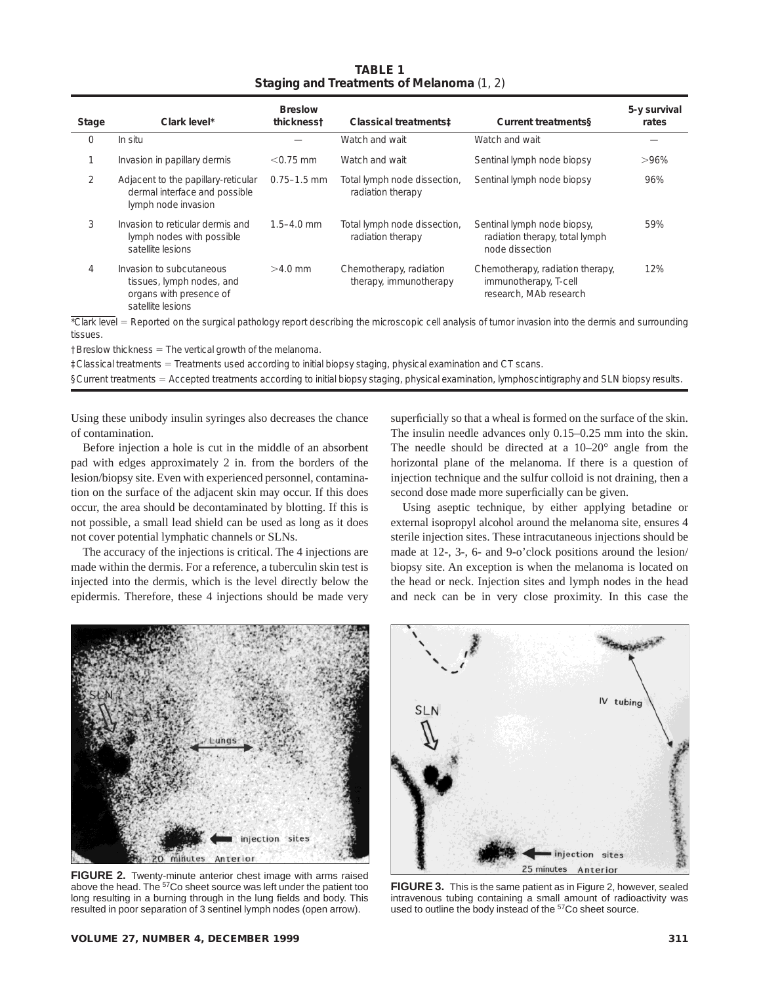| <b>TABLE 1</b>                            |
|-------------------------------------------|
| Staging and Treatments of Melanoma (1, 2) |

| Stage         | Clark level*                                                                                          | <b>Breslow</b><br>thickness <sup>†</sup> | Classical treatments:                             | <b>Current treatmentss</b>                                                          | 5-y survival<br>rates |
|---------------|-------------------------------------------------------------------------------------------------------|------------------------------------------|---------------------------------------------------|-------------------------------------------------------------------------------------|-----------------------|
| $\Omega$      | In situ                                                                                               |                                          | Watch and wait                                    | Watch and wait                                                                      |                       |
|               | Invasion in papillary dermis                                                                          | $< 0.75$ mm                              | Watch and wait                                    | Sentinal lymph node biopsy                                                          | $>96\%$               |
| $\mathcal{P}$ | Adjacent to the papillary-reticular<br>dermal interface and possible<br>lymph node invasion           | $0.75 - 1.5$ mm                          | Total lymph node dissection,<br>radiation therapy | Sentinal lymph node biopsy                                                          | 96%                   |
| 3             | Invasion to reticular dermis and<br>lymph nodes with possible<br>satellite lesions                    | $1.5 - 4.0$ mm                           | Total lymph node dissection,<br>radiation therapy | Sentinal lymph node biopsy,<br>radiation therapy, total lymph<br>node dissection    | 59%                   |
| 4             | Invasion to subcutaneous<br>tissues, lymph nodes, and<br>organs with presence of<br>satellite lesions | $>4.0$ mm                                | Chemotherapy, radiation<br>therapy, immunotherapy | Chemotherapy, radiation therapy,<br>immunotherapy, T-cell<br>research. MAb research | 12%                   |

\*Clark level = Reported on the surgical pathology report describing the microscopic cell analysis of tumor invasion into the dermis and surrounding tissues.

 $†B$ reslow thickness = The vertical growth of the melanoma.

‡Classical treatments 5 Treatments used according to initial biopsy staging, physical examination and CT scans.

§Current treatments = Accepted treatments according to initial biopsy staging, physical examination, lymphoscintigraphy and SLN biopsy results.

Using these unibody insulin syringes also decreases the chance of contamination.

Before injection a hole is cut in the middle of an absorbent pad with edges approximately 2 in. from the borders of the lesion/biopsy site. Even with experienced personnel, contamination on the surface of the adjacent skin may occur. If this does occur, the area should be decontaminated by blotting. If this is not possible, a small lead shield can be used as long as it does not cover potential lymphatic channels or SLNs.

The accuracy of the injections is critical. The 4 injections are made within the dermis. For a reference, a tuberculin skin test is injected into the dermis, which is the level directly below the epidermis. Therefore, these 4 injections should be made very

superficially so that a wheal is formed on the surface of the skin. The insulin needle advances only 0.15–0.25 mm into the skin. The needle should be directed at a 10–20° angle from the horizontal plane of the melanoma. If there is a question of injection technique and the sulfur colloid is not draining, then a second dose made more superficially can be given.

Using aseptic technique, by either applying betadine or external isopropyl alcohol around the melanoma site, ensures 4 sterile injection sites. These intracutaneous injections should be made at 12-, 3-, 6- and 9-o'clock positions around the lesion/ biopsy site. An exception is when the melanoma is located on the head or neck. Injection sites and lymph nodes in the head and neck can be in very close proximity. In this case the



**FIGURE 2.** Twenty-minute anterior chest image with arms raised above the head. The <sup>57</sup>Co sheet source was left under the patient too long resulting in a burning through in the lung fields and body. This resulted in poor separation of 3 sentinel lymph nodes (open arrow).



**FIGURE 3.** This is the same patient as in Figure 2, however, sealed intravenous tubing containing a small amount of radioactivity was used to outline the body instead of the <sup>57</sup>Co sheet source.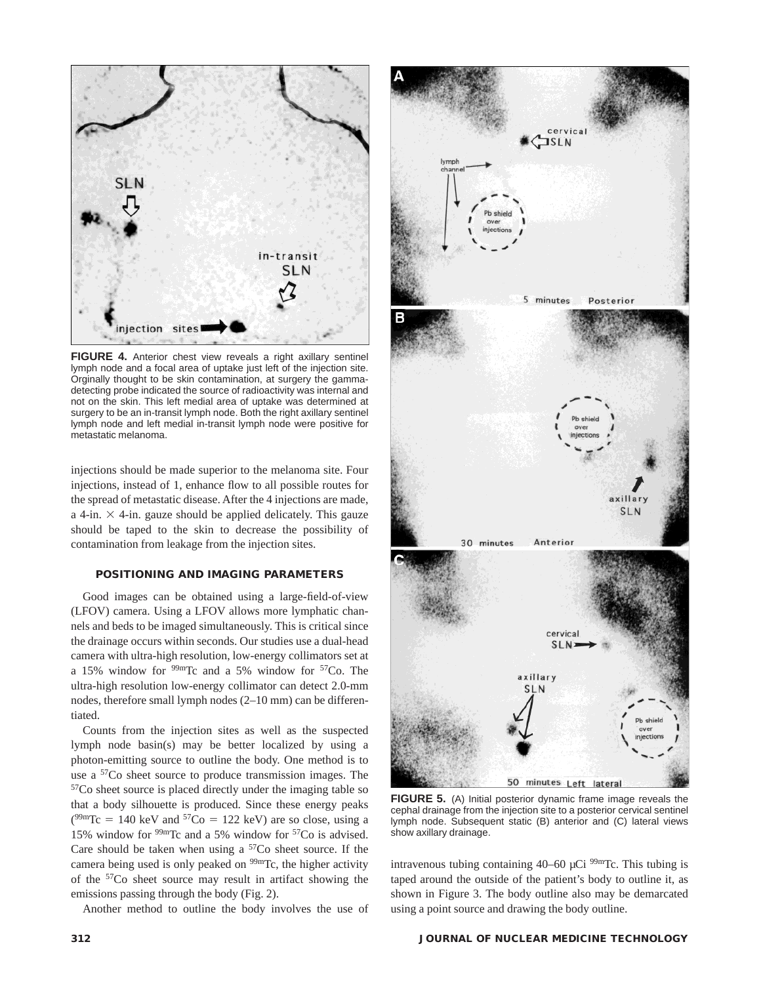

**FIGURE 4.** Anterior chest view reveals a right axillary sentinel lymph node and a focal area of uptake just left of the injection site. Orginally thought to be skin contamination, at surgery the gammadetecting probe indicated the source of radioactivity was internal and not on the skin. This left medial area of uptake was determined at surgery to be an in-transit lymph node. Both the right axillary sentinel lymph node and left medial in-transit lymph node were positive for metastatic melanoma.

injections should be made superior to the melanoma site. Four injections, instead of 1, enhance flow to all possible routes for the spread of metastatic disease. After the 4 injections are made, a 4-in.  $\times$  4-in. gauze should be applied delicately. This gauze should be taped to the skin to decrease the possibility of contamination from leakage from the injection sites.

### **POSITIONING AND IMAGING PARAMETERS**

Good images can be obtained using a large-field-of-view (LFOV) camera. Using a LFOV allows more lymphatic channels and beds to be imaged simultaneously. This is critical since the drainage occurs within seconds. Our studies use a dual-head camera with ultra-high resolution, low-energy collimators set at a 15% window for  $99m$ Tc and a 5% window for  $57C$ o. The ultra-high resolution low-energy collimator can detect 2.0-mm nodes, therefore small lymph nodes (2–10 mm) can be differentiated.

Counts from the injection sites as well as the suspected lymph node basin(s) may be better localized by using a photon-emitting source to outline the body. One method is to use a 57Co sheet source to produce transmission images. The 57Co sheet source is placed directly under the imaging table so that a body silhouette is produced. Since these energy peaks  $(^{99m}Tc = 140 \text{ keV}$  and  $^{57}Co = 122 \text{ keV}$ ) are so close, using a 15% window for 99mTc and a 5% window for 57Co is advised. Care should be taken when using a  $57$ Co sheet source. If the camera being used is only peaked on  $99m$ Tc, the higher activity of the 57Co sheet source may result in artifact showing the emissions passing through the body (Fig. 2).

Another method to outline the body involves the use of



**FIGURE 5.** (A) Initial posterior dynamic frame image reveals the cephal drainage from the injection site to a posterior cervical sentinel lymph node. Subsequent static (B) anterior and (C) lateral views show axillary drainage.

intravenous tubing containing  $40-60 \mu$ Ci  $99m$ Tc. This tubing is taped around the outside of the patient's body to outline it, as shown in Figure 3. The body outline also may be demarcated using a point source and drawing the body outline.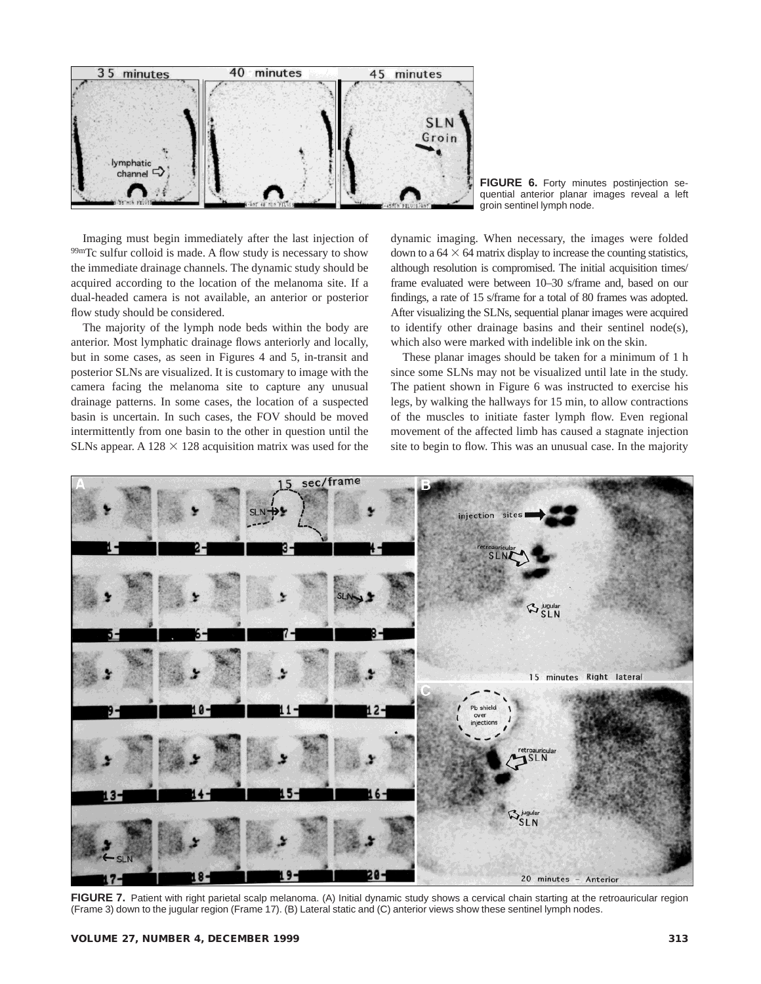

**FIGURE 6.** Forty minutes postinjection sequential anterior planar images reveal a left groin sentinel lymph node.

Imaging must begin immediately after the last injection of 99mTc sulfur colloid is made. A flow study is necessary to show the immediate drainage channels. The dynamic study should be acquired according to the location of the melanoma site. If a dual-headed camera is not available, an anterior or posterior flow study should be considered.

The majority of the lymph node beds within the body are anterior. Most lymphatic drainage flows anteriorly and locally, but in some cases, as seen in Figures 4 and 5, in-transit and posterior SLNs are visualized. It is customary to image with the camera facing the melanoma site to capture any unusual drainage patterns. In some cases, the location of a suspected basin is uncertain. In such cases, the FOV should be moved intermittently from one basin to the other in question until the SLNs appear. A 128  $\times$  128 acquisition matrix was used for the dynamic imaging. When necessary, the images were folded down to a  $64 \times 64$  matrix display to increase the counting statistics, although resolution is compromised. The initial acquisition times/ frame evaluated were between 10–30 s/frame and, based on our findings, a rate of 15 s/frame for a total of 80 frames was adopted. After visualizing the SLNs, sequential planar images were acquired to identify other drainage basins and their sentinel node(s), which also were marked with indelible ink on the skin.

These planar images should be taken for a minimum of 1 h since some SLNs may not be visualized until late in the study. The patient shown in Figure 6 was instructed to exercise his legs, by walking the hallways for 15 min, to allow contractions of the muscles to initiate faster lymph flow. Even regional movement of the affected limb has caused a stagnate injection site to begin to flow. This was an unusual case. In the majority



FIGURE 7. Patient with right parietal scalp melanoma. (A) Initial dynamic study shows a cervical chain starting at the retroauricular region (Frame 3) down to the jugular region (Frame 17). (B) Lateral static and (C) anterior views show these sentinel lymph nodes.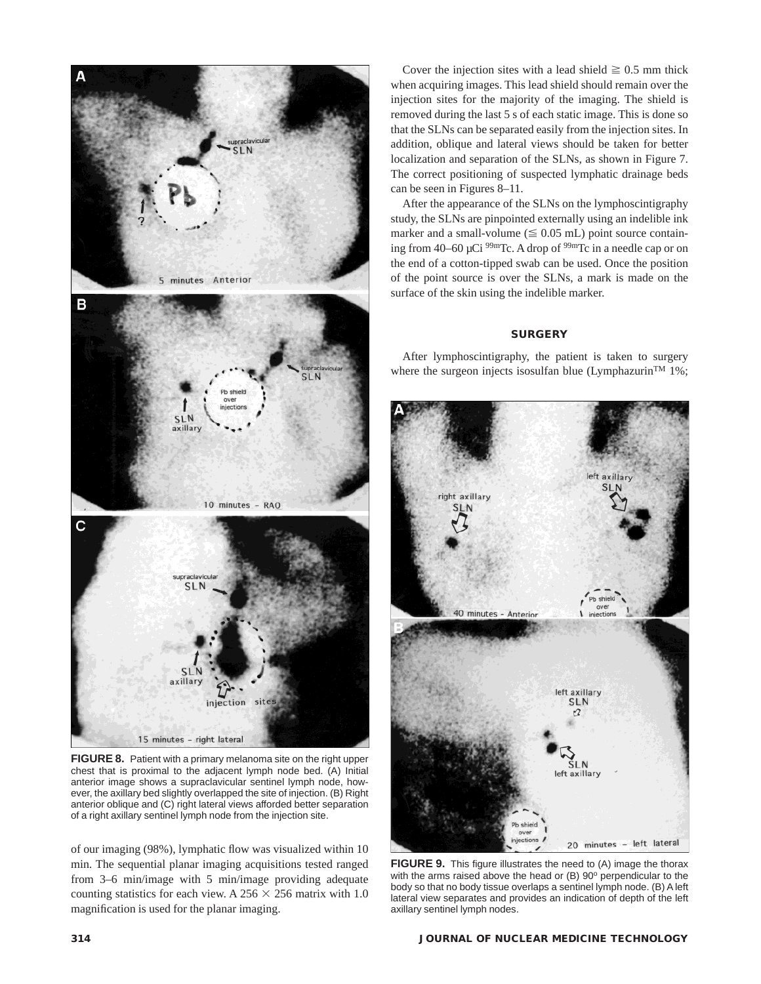

**FIGURE 8.** Patient with a primary melanoma site on the right upper chest that is proximal to the adjacent lymph node bed. (A) Initial anterior image shows a supraclavicular sentinel lymph node, however, the axillary bed slightly overlapped the site of injection. (B) Right anterior oblique and (C) right lateral views afforded better separation of a right axillary sentinel lymph node from the injection site.

of our imaging (98%), lymphatic flow was visualized within 10 min. The sequential planar imaging acquisitions tested ranged from 3–6 min/image with 5 min/image providing adequate counting statistics for each view. A  $256 \times 256$  matrix with 1.0 magnification is used for the planar imaging.

Cover the injection sites with a lead shield  $\geq 0.5$  mm thick when acquiring images. This lead shield should remain over the injection sites for the majority of the imaging. The shield is removed during the last 5 s of each static image. This is done so that the SLNs can be separated easily from the injection sites. In addition, oblique and lateral views should be taken for better localization and separation of the SLNs, as shown in Figure 7. The correct positioning of suspected lymphatic drainage beds can be seen in Figures 8–11.

After the appearance of the SLNs on the lymphoscintigraphy study, the SLNs are pinpointed externally using an indelible ink marker and a small-volume ( $\leq 0.05$  mL) point source containing from 40–60 µCi 99mTc. A drop of 99mTc in a needle cap or on the end of a cotton-tipped swab can be used. Once the position of the point source is over the SLNs, a mark is made on the surface of the skin using the indelible marker.

# **SURGERY**

After lymphoscintigraphy, the patient is taken to surgery where the surgeon injects isosulfan blue (Lymphazurin<sup>TM</sup> 1%;



**FIGURE 9.** This figure illustrates the need to (A) image the thorax with the arms raised above the head or  $(B)$  90 $^{\circ}$  perpendicular to the body so that no body tissue overlaps a sentinel lymph node. (B) A left lateral view separates and provides an indication of depth of the left axillary sentinel lymph nodes.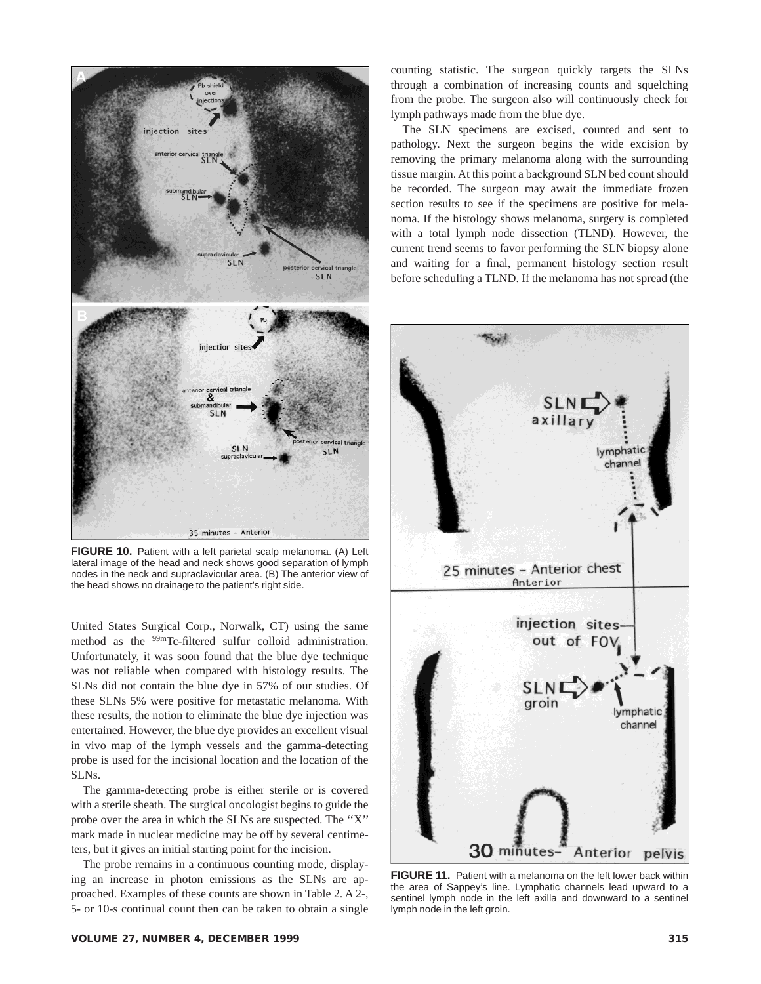

**FIGURE 10.** Patient with a left parietal scalp melanoma. (A) Left lateral image of the head and neck shows good separation of lymph nodes in the neck and supraclavicular area. (B) The anterior view of the head shows no drainage to the patient's right side.

United States Surgical Corp., Norwalk, CT) using the same method as the <sup>99m</sup>Tc-filtered sulfur colloid administration. Unfortunately, it was soon found that the blue dye technique was not reliable when compared with histology results. The SLNs did not contain the blue dye in 57% of our studies. Of these SLNs 5% were positive for metastatic melanoma. With these results, the notion to eliminate the blue dye injection was entertained. However, the blue dye provides an excellent visual in vivo map of the lymph vessels and the gamma-detecting probe is used for the incisional location and the location of the SLNs.

The gamma-detecting probe is either sterile or is covered with a sterile sheath. The surgical oncologist begins to guide the probe over the area in which the SLNs are suspected. The ''X'' mark made in nuclear medicine may be off by several centimeters, but it gives an initial starting point for the incision.

The probe remains in a continuous counting mode, displaying an increase in photon emissions as the SLNs are approached. Examples of these counts are shown in Table 2. A 2-, 5- or 10-s continual count then can be taken to obtain a single counting statistic. The surgeon quickly targets the SLNs through a combination of increasing counts and squelching from the probe. The surgeon also will continuously check for lymph pathways made from the blue dye.

The SLN specimens are excised, counted and sent to pathology. Next the surgeon begins the wide excision by removing the primary melanoma along with the surrounding tissue margin. At this point a background SLN bed count should be recorded. The surgeon may await the immediate frozen section results to see if the specimens are positive for melanoma. If the histology shows melanoma, surgery is completed with a total lymph node dissection (TLND). However, the current trend seems to favor performing the SLN biopsy alone and waiting for a final, permanent histology section result before scheduling a TLND. If the melanoma has not spread (the



**FIGURE 11.** Patient with a melanoma on the left lower back within the area of Sappey's line. Lymphatic channels lead upward to a sentinel lymph node in the left axilla and downward to a sentinel lymph node in the left groin.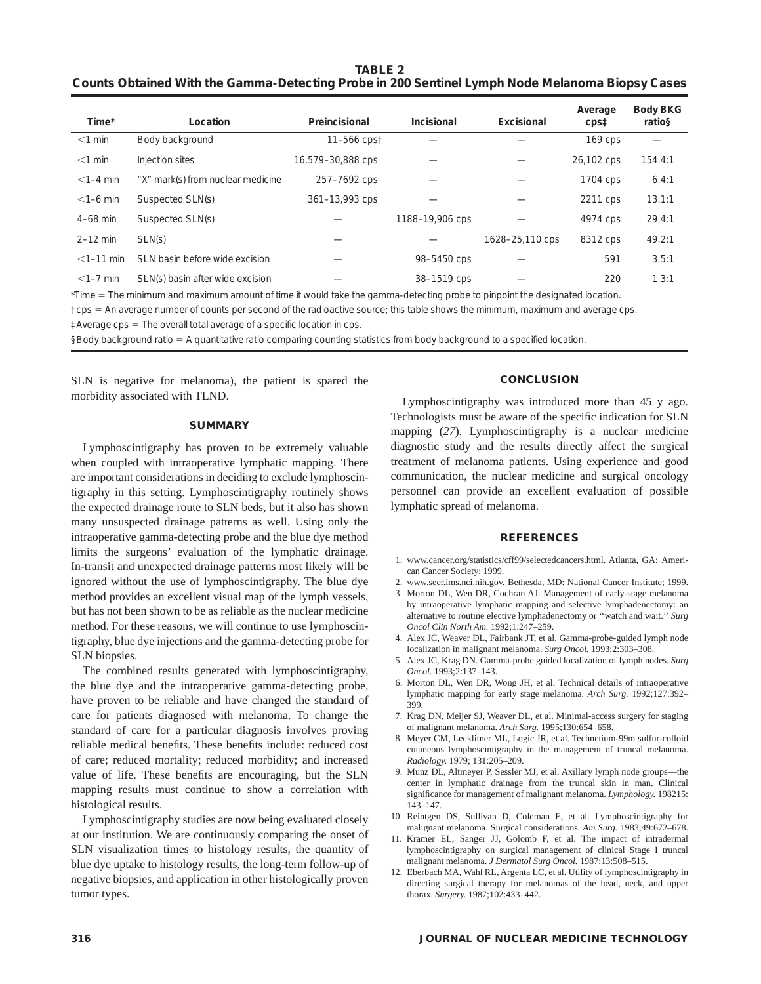**TABLE 2 Counts Obtained With the Gamma-Detecting Probe in 200 Sentinel Lymph Node Melanoma Biopsy Cases**

| Time*        | Location                          | Preincisional     | Incisional      | Excisional      | Average<br>$\text{cps1}$ | <b>Body BKG</b><br>ratio§ |
|--------------|-----------------------------------|-------------------|-----------------|-----------------|--------------------------|---------------------------|
| $<$ 1 min    | Body background                   | 11-566 cpst       |                 |                 | $169$ cps                |                           |
| $<$ 1 min    | Injection sites                   | 16,579-30,888 cps |                 |                 | 26,102 cps               | 154.4:1                   |
| $<$ 1-4 min  | "X" mark(s) from nuclear medicine | 257-7692 cps      |                 |                 | 1704 cps                 | 6.4:1                     |
| $<$ 1-6 min  | Suspected SLN(s)                  | 361-13,993 cps    |                 |                 | 2211 cps                 | 13.1:1                    |
| $4-68$ min   | Suspected SLN(s)                  |                   | 1188-19,906 cps |                 | 4974 cps                 | 29.4:1                    |
| $2-12$ min   | SLN(s)                            |                   |                 | 1628-25,110 cps | 8312 cps                 | 49.2:1                    |
| $<$ 1-11 min | SLN basin before wide excision    |                   | 98-5450 cps     |                 | 591                      | 3.5:1                     |
| $<1-7$ min   | SLN(s) basin after wide excision  |                   | 38-1519 cps     |                 | 220                      | 1.3:1                     |

\*Time = The minimum and maximum amount of time it would take the gamma-detecting probe to pinpoint the designated location.

†cps 5 An average number of counts per second of the radioactive source; this table shows the minimum, maximum and average cps.

 $\ddagger$ Average cps = The overall total average of a specific location in cps.

§Body background ratio = A quantitative ratio comparing counting statistics from body background to a specified location.

SLN is negative for melanoma), the patient is spared the morbidity associated with TLND.

#### **SUMMARY**

Lymphoscintigraphy has proven to be extremely valuable when coupled with intraoperative lymphatic mapping. There are important considerations in deciding to exclude lymphoscintigraphy in this setting. Lymphoscintigraphy routinely shows the expected drainage route to SLN beds, but it also has shown many unsuspected drainage patterns as well. Using only the intraoperative gamma-detecting probe and the blue dye method limits the surgeons' evaluation of the lymphatic drainage. In-transit and unexpected drainage patterns most likely will be ignored without the use of lymphoscintigraphy. The blue dye method provides an excellent visual map of the lymph vessels, but has not been shown to be as reliable as the nuclear medicine method. For these reasons, we will continue to use lymphoscintigraphy, blue dye injections and the gamma-detecting probe for SLN biopsies.

The combined results generated with lymphoscintigraphy, the blue dye and the intraoperative gamma-detecting probe, have proven to be reliable and have changed the standard of care for patients diagnosed with melanoma. To change the standard of care for a particular diagnosis involves proving reliable medical benefits. These benefits include: reduced cost of care; reduced mortality; reduced morbidity; and increased value of life. These benefits are encouraging, but the SLN mapping results must continue to show a correlation with histological results.

Lymphoscintigraphy studies are now being evaluated closely at our institution. We are continuously comparing the onset of SLN visualization times to histology results, the quantity of blue dye uptake to histology results, the long-term follow-up of negative biopsies, and application in other histologically proven tumor types.

#### **CONCLUSION**

Lymphoscintigraphy was introduced more than 45 y ago. Technologists must be aware of the specific indication for SLN mapping (*27*). Lymphoscintigraphy is a nuclear medicine diagnostic study and the results directly affect the surgical treatment of melanoma patients. Using experience and good communication, the nuclear medicine and surgical oncology personnel can provide an excellent evaluation of possible lymphatic spread of melanoma.

# **REFERENCES**

- 1. www.cancer.org/statistics/cff99/selectedcancers.html. Atlanta, GA: American Cancer Society; 1999.
- 2. www.seer.ims.nci.nih.gov. Bethesda, MD: National Cancer Institute; 1999.
- 3. Morton DL, Wen DR, Cochran AJ. Management of early-stage melanoma by intraoperative lymphatic mapping and selective lymphadenectomy: an alternative to routine elective lymphadenectomy or ''watch and wait.'' *Surg Oncol Clin North Am.* 1992;1:247–259.
- 4. Alex JC, Weaver DL, Fairbank JT, et al. Gamma-probe-guided lymph node localization in malignant melanoma. *Surg Oncol.* 1993;2:303–308.
- 5. Alex JC, Krag DN. Gamma-probe guided localization of lymph nodes. *Surg Oncol.* 1993;2:137–143.
- 6. Morton DL, Wen DR, Wong JH, et al. Technical details of intraoperative lymphatic mapping for early stage melanoma. *Arch Surg.* 1992;127:392– 399.
- 7. Krag DN, Meijer SJ, Weaver DL, et al. Minimal-access surgery for staging of malignant melanoma. *Arch Surg.* 1995;130:654–658.
- 8. Meyer CM, Lecklitner ML, Logic JR, et al. Technetium-99m sulfur-colloid cutaneous lymphoscintigraphy in the management of truncal melanoma. *Radiology.* 1979; 131:205–209.
- 9. Munz DL, Altmeyer P, Sessler MJ, et al. Axillary lymph node groups—the center in lymphatic drainage from the truncal skin in man. Clinical significance for management of malignant melanoma. *Lymphology.* 198215: 143–147.
- 10. Reintgen DS, Sullivan D, Coleman E, et al. Lymphoscintigraphy for malignant melanoma. Surgical considerations. *Am Surg.* 1983;49:672–678.
- 11. Kramer EL, Sanger JJ, Golomb F, et al. The impact of intradermal lymphoscintigraphy on surgical management of clinical Stage I truncal malignant melanoma. *J Dermatol Surg Oncol.* 1987:13:508–515.
- 12. Eberbach MA, Wahl RL, Argenta LC, et al. Utility of lymphoscintigraphy in directing surgical therapy for melanomas of the head, neck, and upper thorax. *Surgery.* 1987;102:433–442.